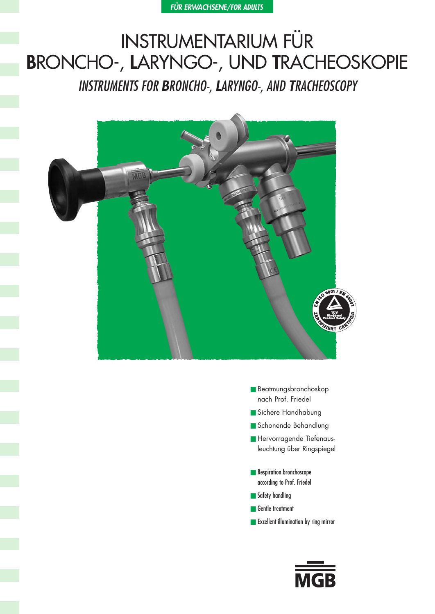# INSTRUMENTARIUM FÜR **B**RONCHO-, **L**ARYNGO-, UND **T**RACHEOSKOPIE

INSTRUMENTS FOR **B**RONCHO-, **L**ARYNGO-, AND **T**RACHEOSCOPY



- Beatmungsbronchoskop nach Prof. Friedel
- Sichere Handhabung
- Schonende Behandlung
- Hervorragende Tiefenaus leuchtung über Ringspiegel
- Respiration bronchoscope according to Prof. Friedel
- Safety handling
- Gentle treatment
- Excellent illumination by ring mirror

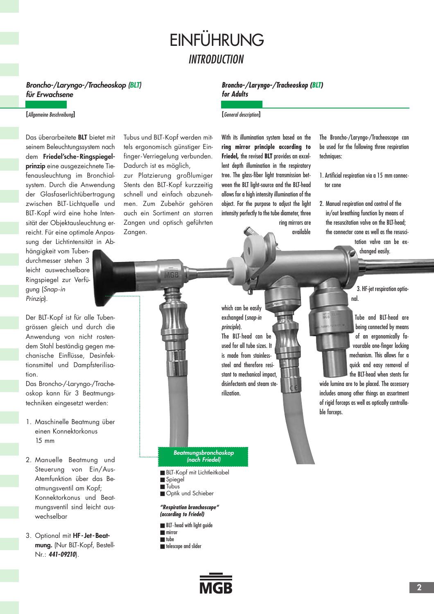## **INTRODUCTION** EINFÜHRUNG

#### **Broncho-/Laryngo-/Tracheoskop (BLT) für Erwachsene**

#### **[**Allgemeine Beschreibung**]**

Das überarbeitete **BLT** bietet mit seinem Beleuchtungssystem nach dem **Friedel'sche-Ringspiegelprinzip** eine ausgezeichnete Tiefenausleuchtung im Bronchialsystem. Durch die Anwendung der Glasfaserlichtübertragung zwischen BLT- Lichtquelle und BLT-Kopf wird eine hohe Intensität der Objektausleuchtung erreicht. Für eine optimale Anpassung der Lichtintensität in Ab-

hängigkeit vom Tubendurchmesser stehen 3 leicht auswechselbare Ringspiegel zur Verfügung (Snap-in Prinzip).

Der BLT-Kopf ist für alle Tubengrössen gleich und durch die Anwendung von nicht rostendem Stahl beständig gegen mechanische Einflüsse, Desinfektionsmittel und Dampfsterilisation.

Das Broncho-/-Laryngo-/Tracheoskop kann für 3 Beatmungstechniken eingesetzt werden:

- 1. Maschinelle Beatmung über einen Konnektorkonus 15 mm
- 2. Manuelle Beatmung und Steuerung von Ein/Aus-Atemfunktion über das Beatmungsventil am Kopf; Konnektorkonus und Beatmungsventil sind leicht auswechselbar
- 3. Optional mit **HF-Jet-Beatmung.** (Nur BLT-Kopf, Bestell-Nr.: **441-09210**).

Tubus und BLT-Kopf werden mittels ergonomisch günstiger Einfinger-Verriegelung verbunden. Dadurch ist es möglich,

zur Platzierung großlumiger Stents den BLT-Kopf kurzzeitig schnell und einfach abzunehmen. Zum Zubehör gehören auch ein Sortiment an starren Zangen und optisch geführten Zangen.

#### **Broncho-/Laryngo-/Tracheoskop (BLT) for Adults**

**[**General description**]**

With its illumination system based on the **ring mirror principle according to Friedel,** the revised **BLT** provides an excellent depth illumination in the respiratory tree. The glass-fiber light transmission between the BLT light-source and the BLT-head allows for a high intensity illumination of the object. For the purpose to adjust the light intensity perfectly to the tube diameter, three

> ring mirrors are available

The Broncho-/Laryngo-/Tracheoscope can be used for the following three respiration techniques:

- 1. Artificial respiration via a 15 mm connector cone
- 2. Manual respiration and control of the in/out breathing function by means of the resuscitation valve on the BLT-head; the connector cone as well as the resuscitation valve can be ex-

changed easily.

3. HF-jet respiration optional.

Tube and BLT-head are being connected by means of an ergonomically favourable one-finger locking mechanism. This allows for a quick and easy removal of the BLT-head when stents for

wide lumina are to be placed. The accessory includes among other things an assortment of rigid forceps as well as optically controllable forceps.

which can be easily exchanged (snap-in principle). The BLT-head can be used for all tube sizes. It is made from stainlesssteel and therefore resistant to mechanical impact, disinfectants and steam sterilization.

#### **Beatmungsbronchoskop (nach Friedel)**

- BLT-Kopf mit Lichtleitkabel
- Spiegel
- Tubus
- Optik und Schieber

**"Respiration bronchoscope" (according to Friedel)**

- BLT-head with light guide ■ mirror ■ tube
- 
- telescope and slider

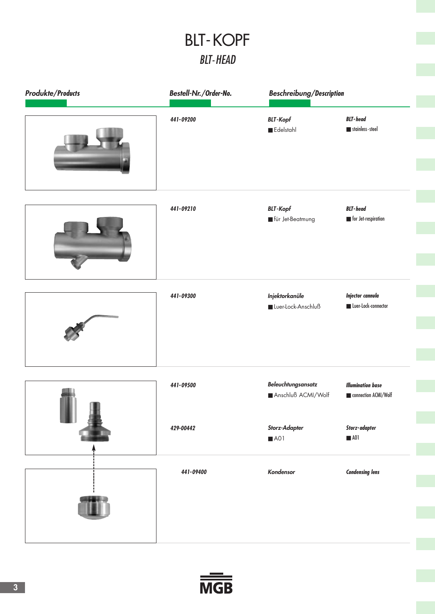## BLT-HEAD BLT-KOPF

| <b>Produkte/Products</b> | Bestell-Nr./Order-No. | Beschreibung/Description                    |                                                       |
|--------------------------|-----------------------|---------------------------------------------|-------------------------------------------------------|
|                          | 441-09200             | <b>BLT-Kopf</b><br>Edelstahl                | <b>BLT-head</b><br>stainless-steel                    |
|                          | 441-09210             | <b>BLT-Kopf</b><br>für Jet-Beatmung         | <b>BLT-head</b><br>$\blacksquare$ for Jet-respiration |
|                          | 441-09300             | <b>Injektorkanüle</b><br>Luer-Lock-Anschluß | <b>Injector cannula</b><br>Luer-Lock-connector        |
|                          | 441-09500             | Beleuchtungsansatz<br>Anschluß ACMI/Wolf    | <b>Illumination base</b><br>connection ACMI/Wolf      |
|                          | 429-00442             | Storz-Adapter<br>A01                        | Storz-adapter<br>$\blacksquare$ A01                   |
|                          | 441-09400             | Kondensor                                   | <b>Condensing lens</b>                                |

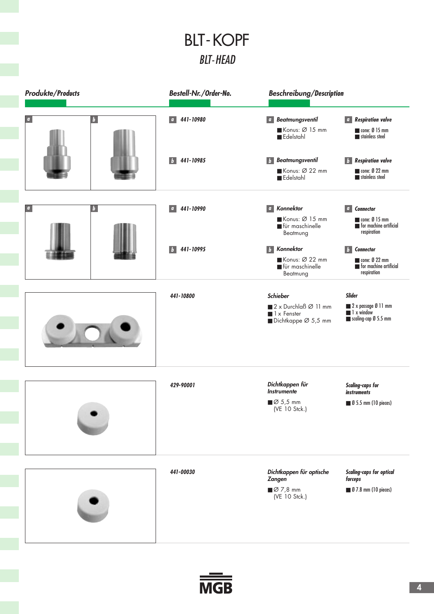## BLT-HEAD BLT-KOPF

| <b>Produkte/Products</b> |                           | Bestell-Nr./Order-No.                                                      | <b>Beschreibung/Description</b>                                                                                                |                                                                                                                       |
|--------------------------|---------------------------|----------------------------------------------------------------------------|--------------------------------------------------------------------------------------------------------------------------------|-----------------------------------------------------------------------------------------------------------------------|
|                          | b                         | 441-10980<br>$\mathbf{a}$                                                  | <b>Beatmungsventil</b><br>$\sigma$<br>Konus: Ø 15 mm<br>$\blacksquare$ Edelstahl                                               | <b>Respiration valve</b><br>$\alpha$<br>cone: $\emptyset$ 15 mm<br>stainless steel                                    |
|                          |                           | 441-10985<br>$\mathbf{b}$                                                  | <b>Beatmungsventil</b><br>$\mathbf{b}$<br>Konus: Ø 22 mm<br>Edelstahl                                                          | <b>Respiration valve</b><br>$\vert b \vert$<br>$\blacksquare$ cone: $\emptyset$ 22 mm<br>stainless steel              |
| $\boldsymbol{a}$         | $\mathbf{b}$              | 441-10990<br>$\mathbf{q}$                                                  | <b><i>a</i></b> Konnektor<br>Konus: Ø 15 mm<br>für maschinelle<br>Beatmung                                                     | <b>Connector</b><br>$\overline{a}$<br>$\blacksquare$ cone: $\emptyset$ 15 mm<br>for machine artificial<br>respiration |
|                          | 441-10995<br>$\mathbf{b}$ | Konnektor<br>$\mathbf{b}$<br>Konus: Ø 22 mm<br>für maschinelle<br>Beatmung | <b>Connector</b><br><b>b</b><br>$\blacksquare$ cone: $\emptyset$ 22 mm<br>$\blacksquare$ for machine artificial<br>respiration |                                                                                                                       |
|                          |                           | 441-10800                                                                  | Schieber<br>2 x Durchlaß Ø 11 mm<br>$\blacksquare$ 1 x Fenster<br>Dichtkappe $\varnothing$ 5,5 mm                              | <b>Slider</b><br>2 x passage Ø 11 mm<br>1 x window<br>scaling-cap Ø 5.5 mm                                            |
|                          |                           | 429-90001                                                                  | Dichtkappen für<br><b>Instrumente</b><br>$\blacksquare$ $\emptyset$ 5,5 mm<br>(VE 10 Stck.)                                    | <b>Scaling-caps for</b><br><i>instruments</i><br><b>9 5.5 mm (10 pieces)</b>                                          |
|                          |                           | 441-00030                                                                  | Dichtkappen für optische<br><b>Zangen</b><br>$\blacksquare$ $\emptyset$ 7,8 mm<br>(VE 10 Stck.)                                | <b>Scaling-caps for optical</b><br>forceps<br>■ Ø 7.8 mm (10 pieces)                                                  |

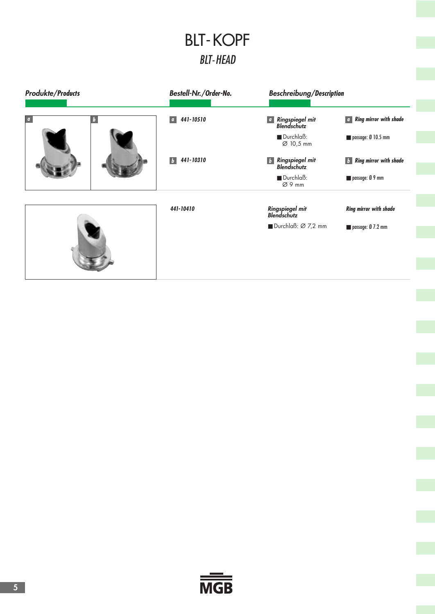## BLT-HEAD BLT-KOPF

| <b>Produkte/Products</b> | Bestell-Nr./Order-No.     | <b>Beschreibung/Description</b>                          |                                     |
|--------------------------|---------------------------|----------------------------------------------------------|-------------------------------------|
| O                        | 441-10510<br>$\alpha$     | Ringspiegel mit<br>$\sigma$<br><b>Blendschutz</b>        | <b>a</b> Ring mirror with shade     |
|                          |                           | Durchlaß:<br>Ø 10,5 mm                                   | passage: $\emptyset$ 10.5 mm        |
|                          | 441-10310<br>$\mathbf{b}$ | Ringspiegel mit<br>$\vert b \vert$<br><b>Blendschutz</b> | $\mathbf{b}$ Ring mirror with shade |
|                          |                           | $\blacksquare$ Durchlaß:<br>Ø9 mm                        | passage: Ø 9 mm                     |
|                          | 441-10410                 | Ringspiegel mit<br><b>Blendschutz</b>                    | <b>Ring mirror with shade</b>       |
|                          |                           | Durchlaß: Ø 7,2 mm                                       | passage: $\emptyset$ 7.2 mm         |

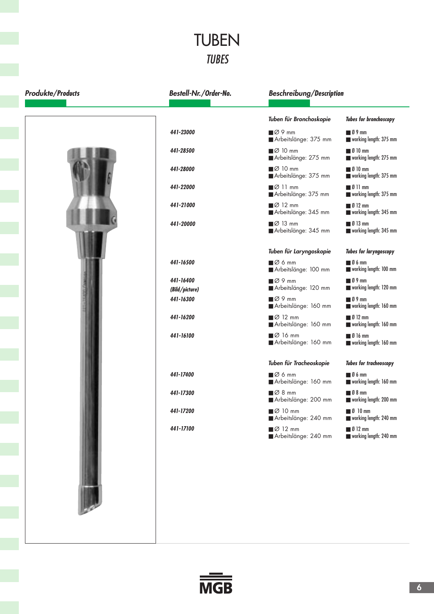#### TUBEN TUBES

| <b>Produkte/Products</b> | Bestell-Nr./Order-No.       | <b>Beschreibung/Description</b>                            |                                                                                       |
|--------------------------|-----------------------------|------------------------------------------------------------|---------------------------------------------------------------------------------------|
|                          |                             | Tuben für Bronchoskopie                                    | <b>Tubes for bronchoscopy</b>                                                         |
|                          | 441-23000                   | $\blacksquare$ $\varnothing$ 9 mm<br>Arbeitslänge: 375 mm  | $\blacksquare$ 0 9 mm<br>working length: 375 mm                                       |
|                          | 441-28500                   | $\blacksquare$ $\varnothing$ 10 mm<br>Arbeitslänge: 275 mm | $\blacksquare$ Ø 10 mm<br>working length: 275 mm                                      |
|                          | 441-28000                   | $\blacksquare$ $\varnothing$ 10 mm<br>Arbeitslänge: 375 mm | $\blacksquare$ Ø 10 mm<br>working length: 375 mm                                      |
|                          | 441-22000                   | $\blacksquare$ $\varnothing$ 11 mm<br>Arbeitslänge: 375 mm | $\blacksquare$ $\emptyset$ 11 mm<br>working length: 375 mm                            |
|                          | 441-21000                   | $\blacksquare$ $\varnothing$ 12 mm<br>Arbeitslänge: 345 mm | $\blacksquare$ Ø 12 mm<br>working length: 345 mm                                      |
|                          | 441-20000                   | $\blacksquare$ $\varnothing$ 13 mm<br>Arbeitslänge: 345 mm | $\blacksquare$ Ø 13 mm<br>working length: 345 mm                                      |
|                          |                             | Tuben für Laryngoskopie                                    | <b>Tubes for laryngoscopy</b>                                                         |
|                          | 441-16500                   | $\Box$ $\emptyset$ 6 mm<br>Arbeitslänge: 100 mm            | $\blacksquare$ 0 6 mm<br>working length: 100 mm                                       |
|                          | 441-16400<br>(Bild/picture) | $\blacksquare$ $\varnothing$ 9 mm<br>Arbeitslänge: 120 mm  | $\blacksquare$ Ø 9 mm<br>working length: 120 mm                                       |
|                          | 441-16300                   | $\Box \emptyset$ 9 mm<br>Arbeitslänge: 160 mm              | $\blacksquare$ 0 9 mm<br>working length: 160 mm                                       |
|                          | 441-16200                   | $\blacksquare$ $\varnothing$ 12 mm<br>Arbeitslänge: 160 mm | $\blacksquare$ $\blacksquare$ $\blacksquare$ $\blacksquare$<br>working length: 160 mm |
|                          | 441-16100                   | $\blacksquare$ $\varnothing$ 16 mm<br>Arbeitslänge: 160 mm | $\blacksquare$ Ø 16 mm<br>working length: 160 mm                                      |
|                          |                             | Tuben für Tracheoskopie                                    | <b>Tubes for tracheoscopy</b>                                                         |
|                          | 441-17400                   | $\blacksquare$ $\emptyset$ 6 mm<br>Arbeitslänge: 160 mm    | $\blacksquare$ 0 6 mm<br>working length: 160 mm                                       |
|                          | 441-17300                   | $\Box$ $\varnothing$ 8 mm<br>Arbeitslänge: 200 mm          | $\blacksquare$ 0 8 mm<br>working length: 200 mm                                       |
|                          | 441-17200                   | ■Ø 10 mm<br>Arbeitslänge: 240 mm                           | $\blacksquare$ Ø 10 mm<br>working length: 240 mm                                      |
|                          | 441-17100                   | $\Box$ Ø 12 mm<br>Arbeitslänge: 240 mm                     | $\blacksquare$ Ø 12 mm<br>working length: 240 mm                                      |
|                          |                             |                                                            |                                                                                       |

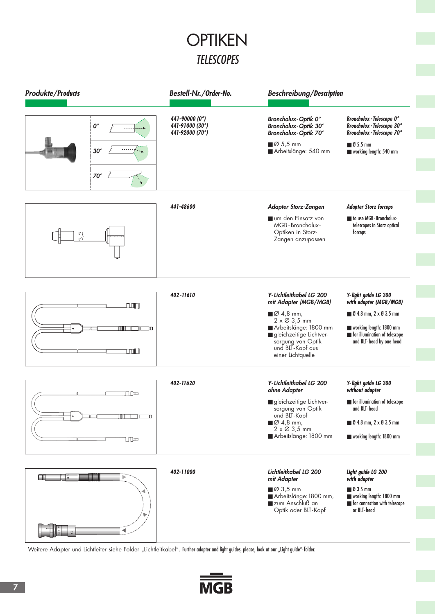## **TELESCOPES OPTIKEN**

| <b>Produkte/Products</b> |                                                  | Bestell-Nr./Order-No.                                | <b>Beschreibung/Description</b>                                                                                                                                                                                                         |                                                                                                                                                                                 |
|--------------------------|--------------------------------------------------|------------------------------------------------------|-----------------------------------------------------------------------------------------------------------------------------------------------------------------------------------------------------------------------------------------|---------------------------------------------------------------------------------------------------------------------------------------------------------------------------------|
|                          | $\mathbf{0}^{\circ}$<br>$30^\circ$<br>$70^\circ$ | 441-90000 (0°)<br>441-91000 (30°)<br>441-92000 (70°) | <b>Broncholux-Optik 0°</b><br>Broncholux-Optik 30°<br>Broncholux-Optik 70°<br>$\blacksquare$ Ø 5,5 mm<br>Arbeitslänge: 540 mm                                                                                                           | <b>Broncholux - Telescope 0°</b><br><b>Broncholux - Telescope 30°</b><br><b>Broncholux - Telescope 70°</b><br>$\blacksquare$ Ø 5.5 mm<br>working length: 540 mm                 |
| 5,5                      |                                                  | 441-48600                                            | <b>Adapter Storz-Zangen</b><br>um den Einsatz von<br>MGB-Broncholux-<br>Optiken in Storz-<br>Zangen anzupassen                                                                                                                          | <b>Adapter Storz forceps</b><br>to use MGB-Broncholux-<br>telescopes in Storz optical<br>forceps                                                                                |
|                          | n m<br>ШI<br><b>TONEL</b>                        | 402-11610                                            | Y-Lichtleitkabel LG 200<br>mit Adapter (MGB/MGB)<br>$\blacksquare$ $\emptyset$ 4,8 mm,<br>$2 \times \emptyset$ 3,5 mm<br>Arbeitslänge: 1800 mm<br>gleichzeitige Lichtver-<br>sorgung von Optik<br>und BLT-Kopf aus<br>einer Lichtquelle | Y-light guide LG 200<br>with adapter (MGB/MGB)<br>$\blacksquare$ Ø 4.8 mm, 2 x Ø 3.5 mm<br>working length: 1800 mm<br>for illumination of telescope<br>and BLT-head by one head |
|                          | The<br>www.<br>◫<br>╖                            | 402-11620                                            | Y-Lichtleitkabel LG 200<br>ohne Adapter<br>gleichzeitige Lichtver-<br>sorgung von Optik<br>und BLT-Kopf<br>$\blacksquare$ $\emptyset$ 4,8 mm,<br>$2 \times \emptyset$ 3,5 mm<br>Arbeitslänge: 1800 mm                                   | Y-light guide LG 200<br>without adapter<br>for illumination of telescope<br>and BLT-head<br>■ Ø 4.8 mm, 2 x Ø 3.5 mm<br>working length: 1800 mm                                 |
| Щ                        | <b>HELE</b><br>Þ                                 | 402-11000                                            | Lichtleitkabel LG 200<br>mit Adapter<br>■Ø 3,5 mm<br>Arbeitslänge: 1800 mm,<br>zum Anschluß an<br>Optik oder BLT-Kopf                                                                                                                   | Light guide LG 200<br>with adapter<br>$\blacksquare$ $\emptyset$ 3.5 mm<br>working length: 1800 mm<br>for connection with telescope<br>or BLT-head                              |

Weitere Adapter und Lichtleiter siehe Folder "Lichtleitkabel". Further adapter and light guides, please, look at our "Light guide"-folder.

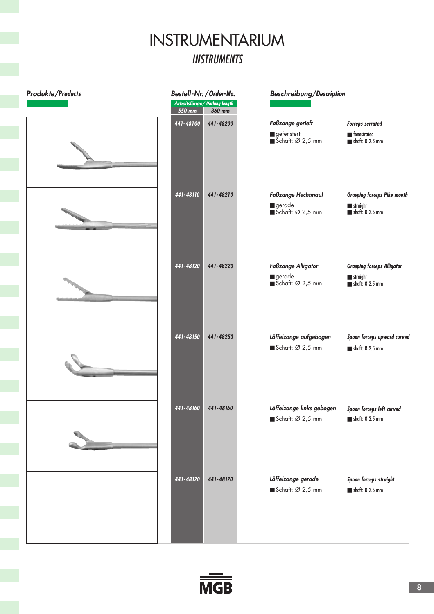#### **INSTRUMENTS** INSTRUMENTARIUM

| <b>Produkte/Products</b> |           | Bestell-Nr. / Order-No.               | <b>Beschreibung/Description</b>                                                  |                                                                                  |
|--------------------------|-----------|---------------------------------------|----------------------------------------------------------------------------------|----------------------------------------------------------------------------------|
|                          | 550 mm    | Arbeitslänge/Working length<br>360 mm |                                                                                  |                                                                                  |
|                          | 441-48100 | 441-48200                             | Faßzange gerieft<br>$\blacksquare$ gefenstert<br>$\blacksquare$ Schaft: Ø 2,5 mm | <b>Forceps serrated</b><br><b>Exercised</b><br>$\blacksquare$ shaft: Ø 2.5 mm    |
|                          | 441-48110 | 441-48210                             | <b>Faßzange Hechtmaul</b><br>gerade<br>Schaft: $\varnothing$ 2,5 mm              | <b>Grasping forceps Pike mouth</b><br>straight<br>$\blacksquare$ shaft: Ø 2.5 mm |
|                          | 441-48120 | 441-48220                             | <b>Faßzange Alligator</b><br>gerade<br>$\blacksquare$ Schaft: Ø 2,5 mm           | <b>Grasping forceps Alligator</b><br>straight<br>$\blacksquare$ shaft: Ø 2.5 mm  |
|                          | 441-48150 | 441-48250                             | Löffelzange aufgebogen<br>Schaft: Ø 2,5 mm                                       | Spoon forceps upward curved<br>$\blacksquare$ shaft: Ø 2.5 mm                    |
|                          | 441-48160 | 441-48160                             | Löffelzange links gebogen<br>Schaft: Ø 2,5 mm                                    | Spoon forceps left curved<br>$\blacksquare$ shaft: Ø 2.5 mm                      |
|                          | 441-48170 | 441-48170                             | Löffelzange gerade<br>Schaft: Ø 2,5 mm                                           | Spoon forceps straight<br>shaft: Ø 2.5 mm                                        |
|                          |           |                                       |                                                                                  |                                                                                  |

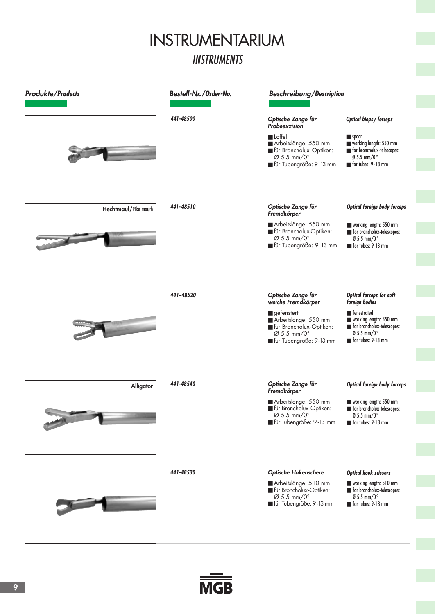## **INSTRUMENTS** INSTRUMENTARIUM

| <b>Produkte/Products</b> | Bestell-Nr./Order-No. | <b>Beschreibung/Description</b>                                                                                                                                   |                                                                                                                                                                           |
|--------------------------|-----------------------|-------------------------------------------------------------------------------------------------------------------------------------------------------------------|---------------------------------------------------------------------------------------------------------------------------------------------------------------------------|
|                          | 441-48500             | Optische Zange für<br>Probeexzision<br><b>Löffel</b><br>Arbeitslänge: 550 mm<br>für Broncholux-Optiken:<br>$\varnothing$ 5,5 mm/0°<br>■ für Tubengröße: 9-13 mm   | <b>Optical biopsy forceps</b><br>$\blacksquare$ spoon<br>working length: 550 mm<br>for broncholux-telescopes:<br>$\frac{0}{5.5}$ mm/0°<br>for tubes: 9-13 mm              |
| Hechtmaul/Pike mouth     | 441-48510             | Optische Zange für<br>Fremdkörper<br>Arbeitslänge: 550 mm<br>für Broncholux-Optiken:<br>$\varnothing$ 5,5 mm/0°<br>■ für Tubengröße: 9-13 mm                      | <b>Optical foreign body forceps</b><br>working length: 550 mm<br>for broncholux-telescopes:<br>$\text{O}$ 5.5 mm/0°<br>$\blacksquare$ for tubes: 9-13 mm                  |
|                          | 441-48520             | Optische Zange für<br>weiche Fremdkörper<br>gefenstert<br>Arbeitslänge: 550 mm<br>für Broncholux-Optiken:<br>$\varnothing$ 5,5 mm/0°<br>■ für Tubengröße: 9-13 mm | <b>Optical forceps for soft</b><br>foreign bodies<br>Fenestrated<br>working length: 550 mm<br>for broncholux-telescopes:<br>$\frac{0}{2}$ 5.5 mm/0°<br>for tubes: 9-13 mm |
| Alligator                | 441-48540             | Optische Zange für<br>Fremdkörper<br>Arbeitslänge: 550 mm<br>für Broncholux-Optiken:<br>$\varnothing$ 5,5 mm/0 $^{\circ}$<br>■ für Tubengröße: 9-13 mm            | <b>Optical foreign body forceps</b><br>working length: 550 mm<br>for broncholux-telescopes:<br>$\text{\O}5.5$ mm/0 $^{\circ}$<br>for tubes: 9-13 mm                       |
|                          | 441-48530             | <b>Optische Hakenschere</b><br>Arbeitslänge: 510 mm<br>für Broncholux-Optiken:<br>$\varnothing$ 5,5 mm/0°<br>■ für Tubengröße: 9-13 mm                            | <b>Optical hook scissors</b><br>working length: 510 mm<br>for broncholux-telescopes:<br>$\frac{0}{5.5}$ mm/0°<br>for tubes: 9-13 mm                                       |

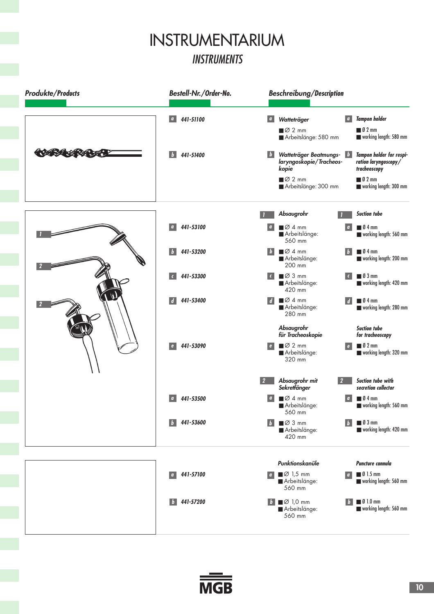#### INSTRUMENTARIUM INSTRUMENTS



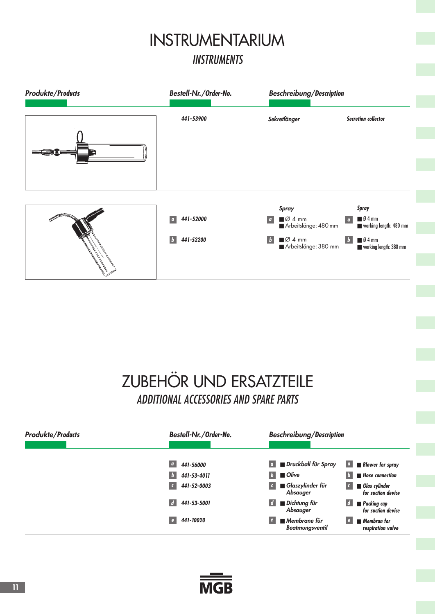## **INSTRUMENTS** INSTRUMENTARIUM



## ZUBEHÖR UND ERSATZTEILE ADDITIONAL ACCESSORIES AND SPARE PARTS

| <b>Produkte/Products</b> | Bestell-Nr./Order-No.                                         | <b>Beschreibung/Description</b>                                                                                     |
|--------------------------|---------------------------------------------------------------|---------------------------------------------------------------------------------------------------------------------|
|                          | $\overline{a}$<br>441-56000<br>441-53-4011<br>$\vert b \vert$ | $\boxed{a}$ <b>B</b> Druckball für Spray<br>$\parallel b \parallel$ D Olive<br><b>Hose connection</b><br>$\sqrt{2}$ |
|                          | 441-52-0003<br>$\epsilon$                                     | Glaszylinder für<br>$\blacksquare$ Glas cylinder<br>$\sqrt{2}$<br>$\epsilon$<br>Absauger<br>for suction device      |
|                          | 441-53-5001<br>$\overline{d}$                                 | ■ Dichtung für<br>$\blacksquare$ Packing cap<br>$\overline{d}$<br>Absauger<br>for suction device                    |
|                          | 441-10020<br>$\epsilon$                                       | ■ Membrane für<br>$\blacksquare$ Membran for<br><b>Beatmungsventil</b><br>respiration valve                         |